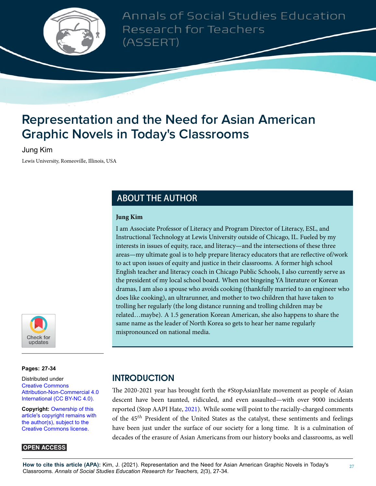

Annals of Social Studies Education Research for Teachers (ASSERT)

# **Representation and the Need for Asian American Graphic Novels in Today's Classrooms**

#### Jung Kim

Lewis University, Romeoville, Illinois, USA

# **ABOUT THE AUTHOR**

#### **Jung Kim**

I am Associate Professor of Literacy and Program Director of Literacy, ESL, and Instructional Technology at Lewis University outside of Chicago, IL. Fueled by my interests in issues of equity, race, and literacy—and the intersections of these three areas—my ultimate goal is to help prepare literacy educators that are reflective of/work to act upon issues of equity and justice in their classrooms. A former high school English teacher and literacy coach in Chicago Public Schools, I also currently serve as the president of my local school board. When not bingeing YA literature or Korean dramas, I am also a spouse who avoids cooking (thankfully married to an engineer who does like cooking), an ultrarunner, and mother to two children that have taken to trolling her regularly (the long distance running and trolling children may be related…maybe). A 1.5 generation Korean American, she also happens to share the same name as the leader of North Korea so gets to hear her name regularly mispronounced on national media.



**Pages: 27[-34](#page-7-0)**

Distributed under [Creative Commons](https://creativecommons.org/licenses/by-nc/4.0/) [Attribution-Non-Commercial 4.0](https://creativecommons.org/licenses/by-nc/4.0/) [International \(CC BY-NC 4.0\).](https://creativecommons.org/licenses/by-nc/4.0/)

**Copyright:** [Ownership of this](https://creativecommons.org/licenses/) [article's copyright remains with](https://creativecommons.org/licenses/) [the author\(s\), subject to the](https://creativecommons.org/licenses/) [Creative Commons license.](https://creativecommons.org/licenses/)

#### **OPEN ACCESS**

# **INTRODUCTION**

The 2020-2021 year has brought forth the #StopAsianHate movement as people of Asian descent have been taunted, ridiculed, and even assaulted—with over 9000 incidents reported (Stop AAPI Hate, [2021\)](#page-7-1). While some will point to the racially-charged comments of the 45*th* President of the United States as the catalyst, these sentiments and feelings have been just under the surface of our society for a long time. It is a culmination of decades of the erasure of Asian Americans from our history books and classrooms, as well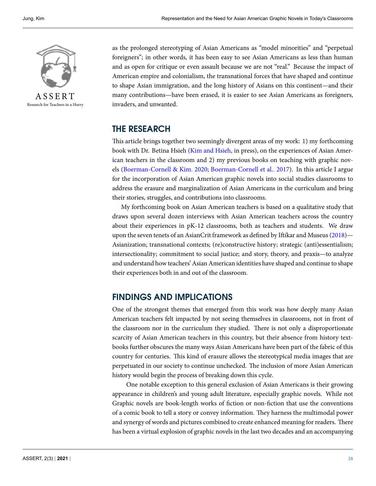

Research for Teachers in a Hurry

as the prolonged stereotyping of Asian Americans as "model minorities" and "perpetual foreigners"; in other words, it has been easy to see Asian Americans as less than human and as open for critique or even assault because we are not "real." Because the impact of American empire and colonialism, the transnational forces that have shaped and continue to shape Asian immigration, and the long history of Asians on this continent—and their many contributions—have been erased, it is easier to see Asian Americans as foreigners, invaders, and unwanted.

### **THE RESEARCH**

This article brings together two seemingly divergent areas of my work: 1) my forthcoming book with Dr. Betina Hsieh([Kim and Hsieh](#page-7-2), in press), on the experiences of Asian American teachers in the classroom and 2) my previous books on teaching with graphic novels([Boerman-Cornell & Kim](#page-7-3), [2020;](#page-7-3) [Boerman-Cornell et al.,](#page-7-4) [2017](#page-7-4)). In this article I argue for the incorporation of Asian American graphic novels into social studies classrooms to address the erasure and marginalization of Asian Americans in the curriculum and bring their stories, struggles, and contributions into classrooms.

My forthcoming book on Asian American teachers is based on a qualitative study that draws upon several dozen interviews with Asian American teachers across the country about their experiences in pK-12 classrooms, both as teachers and students. We draw upon the seven tenets of an AsianCrit framework as defined by Iftikar and Museus [\(2018](#page-7-5))— Asianization; transnational contexts; (re)constructive history; strategic (anti)essentialism; intersectionality; commitment to social justice; and story, theory, and praxis—to analyze and understand how teachers' Asian American identities have shaped and continue to shape their experiences both in and out of the classroom.

### **FINDINGS AND IMPLICATIONS**

One of the strongest themes that emerged from this work was how deeply many Asian American teachers felt impacted by not seeing themselves in classrooms, not in front of the classroom nor in the curriculum they studied. There is not only a disproportionate scarcity of Asian American teachers in this country, but their absence from history textbooks further obscures the many ways Asian Americans have been part of the fabric of this country for centuries. This kind of erasure allows the stereotypical media images that are perpetuated in our society to continue unchecked. The inclusion of more Asian American history would begin the process of breaking down this cycle.

One notable exception to this general exclusion of Asian Americans is their growing appearance in children's and young adult literature, especially graphic novels. While not Graphic novels are book-length works of fiction or non-fiction that use the conventions of a comic book to tell a story or convey information. They harness the multimodal power and synergy of words and pictures combined to create enhanced meaning for readers. There has been a virtual explosion of graphic novels in the last two decades and an accompanying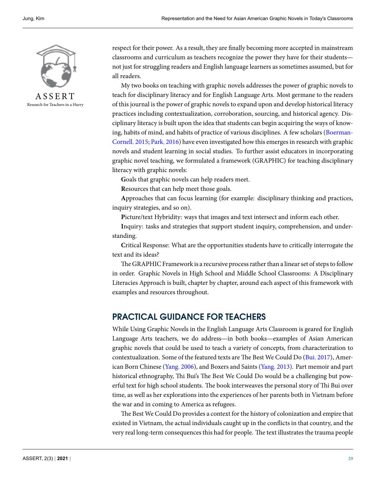

A S S E R T Research for Teachers in a Hurry respect for their power. As a result, they are finally becoming more accepted in mainstream classrooms and curriculum as teachers recognize the power they have for their students not just for struggling readers and English language learners as sometimes assumed, but for all readers.

My two books on teaching with graphic novels addresses the power of graphic novels to teach for disciplinary literacy and for English Language Arts. Most germane to the readers of this journal is the power of graphic novels to expand upon and develop historical literacy practices including contextualization, corroboration, sourcing, and historical agency. Disciplinary literacy is built upon the idea that students can begin acquiring the ways of knowing, habits of mind, and habits of practice of various disciplines. A few scholars([Boerman-](#page-6-0)[Cornell,](#page-6-0) [2015](#page-6-0); [Park,](#page-7-6) [2016](#page-7-6)) have even investigated how this emerges in research with graphic novels and student learning in social studies. To further assist educators in incorporating graphic novel teaching, we formulated a framework (GRAPHIC) for teaching disciplinary literacy with graphic novels:

**G**oals that graphic novels can help readers meet.

**R**esources that can help meet those goals.

**A**pproaches that can focus learning (for example: disciplinary thinking and practices, inquiry strategies, and so on).

**P**icture/text Hybridity: ways that images and text intersect and inform each other.

**I**nquiry: tasks and strategies that support student inquiry, comprehension, and understanding.

**C**ritical Response: What are the opportunities students have to critically interrogate the text and its ideas?

The GRAPHIC Framework is a recursive process rather than a linear set of steps to follow in order. Graphic Novels in High School and Middle School Classrooms: A Disciplinary Literacies Approach is built, chapter by chapter, around each aspect of this framework with examples and resources throughout.

### **PRACTICAL GUIDANCE FOR TEACHERS**

While Using Graphic Novels in the English Language Arts Classroom is geared for English Language Arts teachers, we do address—in both books—examples of Asian American graphic novels that could be used to teach a variety of concepts, from characterization to contextualization. Some of the featured texts are The Best We Could Do [\(Bui](#page-7-7), [2017\)](#page-7-7), American Born Chinese([Yang](#page-7-8), [2006\)](#page-7-8), and Boxers and Saints [\(Yang](#page-7-9), [2013\)](#page-7-9). Part memoir and part historical ethnography, Thi Bui's The Best We Could Do would be a challenging but powerful text for high school students. The book interweaves the personal story of Thi Bui over time, as well as her explorations into the experiences of her parents both in Vietnam before the war and in coming to America as refugees.

The Best We Could Do provides a context for the history of colonization and empire that existed in Vietnam, the actual individuals caught up in the conflicts in that country, and the very real long-term consequences this had for people. The text illustrates the trauma people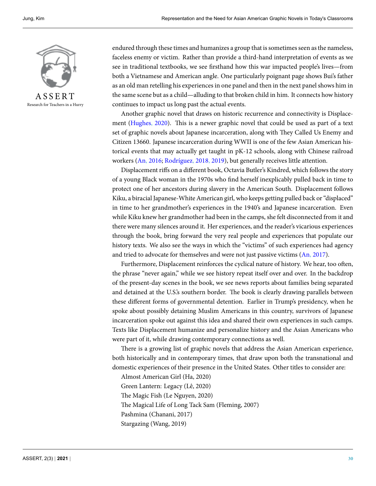

Research for Teachers in a Hurry

endured through these times and humanizes a group that is sometimes seen as the nameless, faceless enemy or victim. Rather than provide a third-hand interpretation of events as we see in traditional textbooks, we see firsthand how this war impacted people's lives—from both a Vietnamese and American angle. One particularly poignant page shows Bui's father as an old man retelling his experiences in one panel and then in the next panel shows him in the same scene but as a child—alluding to that broken child in him. It connects how history continues to impact us long past the actual events.

Another graphic novel that draws on historic recurrence and connectivity is Displacement([Hughes,](#page-7-10) [2020\)](#page-7-10). This is a newer graphic novel that could be used as part of a text set of graphic novels about Japanese incarceration, along with They Called Us Enemy and Citizen 13660. Japanese incarceration during WWII is one of the few Asian American historical events that may actually get taught in pK-12 schools, along with Chinese railroad workers([An](#page-6-1), [2016](#page-6-1); [Rodríguez,](#page-7-11) [2018,](#page-7-11) [2019](#page-7-12)), but generally receives little attention.

Displacement riffs on a different book, Octavia Butler's Kindred, which follows the story of a young Black woman in the 1970s who find herself inexplicably pulled back in time to protect one of her ancestors during slavery in the American South. Displacement follows Kiku, a biracial Japanese-White American girl, who keeps getting pulled back or "displaced" in time to her grandmother's experiences in the 1940's and Japanese incarceration. Even while Kiku knew her grandmother had been in the camps, she felt disconnected from it and there were many silences around it. Her experiences, and the reader's vicarious experiences through the book, bring forward the very real people and experiences that populate our history texts. We also see the ways in which the "victims" of such experiences had agency and tried to advocate for themselves and were not just passive victims([An](#page-6-2), [2017](#page-6-2)).

Furthermore, Displacement reinforces the cyclical nature of history. We hear, too often, the phrase "never again," while we see history repeat itself over and over. In the backdrop of the present-day scenes in the book, we see news reports about families being separated and detained at the U.S.'s southern border. The book is clearly drawing parallels between these different forms of governmental detention. Earlier in Trump's presidency, when he spoke about possibly detaining Muslim Americans in this country, survivors of Japanese incarceration spoke out against this idea and shared their own experiences in such camps. Texts like Displacement humanize and personalize history and the Asian Americans who were part of it, while drawing contemporary connections as well.

There is a growing list of graphic novels that address the Asian American experience, both historically and in contemporary times, that draw upon both the transnational and domestic experiences of their presence in the United States. Other titles to consider are:

Almost American Girl (Ha, 2020) Green Lantern: Legacy (Lê, 2020) The Magic Fish (Le Nguyen, 2020) The Magical Life of Long Tack Sam (Fleming, 2007) Pashmina (Chanani, 2017) Stargazing (Wang, 2019)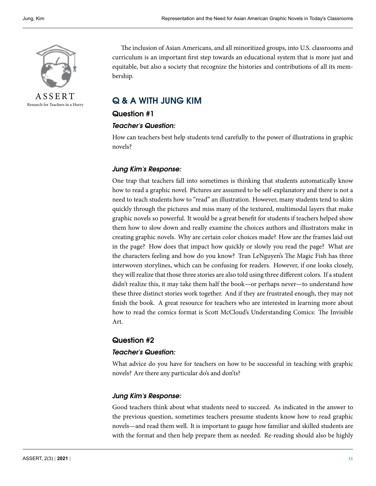

A S S E R T Research for Teachers in a Hurry

The inclusion of Asian Americans, and all minoritized groups, into U.S. classrooms and curriculum is an important first step towards an educational system that is more just and equitable, but also a society that recognize the histories and contributions of all its membership.

## **Q & A WITH JUNG KIM**

#### **Question #1**

#### *Teacher's Question:*

How can teachers best help students tend carefully to the power of illustrations in graphic novels?

#### *Jung Kim's Response:*

One trap that teachers fall into sometimes is thinking that students automatically know how to read a graphic novel. Pictures are assumed to be self-explanatory and there is not a need to teach students how to "read" an illustration. However, many students tend to skim quickly through the pictures and miss many of the textured, multimodal layers that make graphic novels so powerful. It would be a great benefit for students if teachers helped show them how to slow down and really examine the choices authors and illustrators make in creating graphic novels. Why are certain color choices made? How are the frames laid out in the page? How does that impact how quickly or slowly you read the page? What are the characters feeling and how do you know? Tran LeNguyen's The Magic Fish has three interwoven storylines, which can be confusing for readers. However, if one looks closely, they will realize that those three stories are also told using three different colors. If a student didn't realize this, it may take them half the book—or perhaps never—to understand how these three distinct stories work together. And if they are frustrated enough, they may not finish the book. A great resource for teachers who are interested in learning more about how to read the comics format is Scott McCloud's Understanding Comics: The Invisible Art.

#### **Question #2**

#### *Teacher's Question:*

What advice do you have for teachers on how to be successful in teaching with graphic novels? Are there any particular do's and don'ts?

#### *Jung Kim's Response:*

Good teachers think about what students need to succeed. As indicated in the answer to the previous question, sometimes teachers presume students know how to read graphic novels—and read them well. It is important to gauge how familiar and skilled students are with the format and then help prepare them as needed. Re-reading should also be highly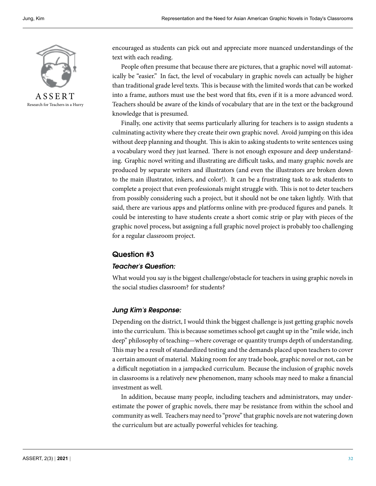

Research for Teachers in a Hurry

encouraged as students can pick out and appreciate more nuanced understandings of the text with each reading.

People often presume that because there are pictures, that a graphic novel will automatically be "easier." In fact, the level of vocabulary in graphic novels can actually be higher than traditional grade level texts. This is because with the limited words that can be worked into a frame, authors must use the best word that fits, even if it is a more advanced word. Teachers should be aware of the kinds of vocabulary that are in the text or the background knowledge that is presumed.

Finally, one activity that seems particularly alluring for teachers is to assign students a culminating activity where they create their own graphic novel. Avoid jumping on this idea without deep planning and thought. This is akin to asking students to write sentences using a vocabulary word they just learned. There is not enough exposure and deep understanding. Graphic novel writing and illustrating are difficult tasks, and many graphic novels are produced by separate writers and illustrators (and even the illustrators are broken down to the main illustrator, inkers, and color!). It can be a frustrating task to ask students to complete a project that even professionals might struggle with. This is not to deter teachers from possibly considering such a project, but it should not be one taken lightly. With that said, there are various apps and platforms online with pre-produced figures and panels. It could be interesting to have students create a short comic strip or play with pieces of the graphic novel process, but assigning a full graphic novel project is probably too challenging for a regular classroom project.

#### **Question #3**

#### *Teacher's Question:*

What would you say is the biggest challenge/obstacle for teachers in using graphic novels in the social studies classroom? for students?

#### *Jung Kim's Response:*

Depending on the district, I would think the biggest challenge is just getting graphic novels into the curriculum. This is because sometimes school get caught up in the "mile wide, inch deep" philosophy of teaching—where coverage or quantity trumps depth of understanding. This may be a result of standardized testing and the demands placed upon teachers to cover a certain amount of material. Making room for any trade book, graphic novel or not, can be a difficult negotiation in a jampacked curriculum. Because the inclusion of graphic novels in classrooms is a relatively new phenomenon, many schools may need to make a financial investment as well.

In addition, because many people, including teachers and administrators, may underestimate the power of graphic novels, there may be resistance from within the school and community as well. Teachers may need to "prove" that graphic novels are not watering down the curriculum but are actually powerful vehicles for teaching.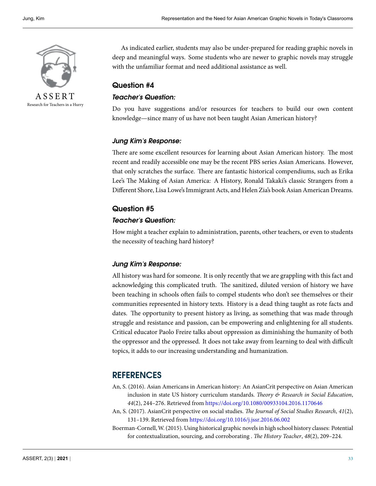

A S S E R T Research for Teachers in a Hurry

As indicated earlier, students may also be under-prepared for reading graphic novels in deep and meaningful ways. Some students who are newer to graphic novels may struggle with the unfamiliar format and need additional assistance as well.

#### **Question #4**

#### *Teacher's Question:*

Do you have suggestions and/or resources for teachers to build our own content knowledge—since many of us have not been taught Asian American history?

#### *Jung Kim's Response:*

There are some excellent resources for learning about Asian American history. The most recent and readily accessible one may be the recent PBS series Asian Americans. However, that only scratches the surface. There are fantastic historical compendiums, such as Erika Lee's The Making of Asian America: A History, Ronald Takaki's classic Strangers from a Different Shore, Lisa Lowe's Immigrant Acts, and Helen Zia's book Asian American Dreams.

#### **Question #5**

#### *Teacher's Question:*

How might a teacher explain to administration, parents, other teachers, or even to students the necessity of teaching hard history?

#### *Jung Kim's Response:*

All history was hard for someone. It is only recently that we are grappling with this fact and acknowledging this complicated truth. The sanitized, diluted version of history we have been teaching in schools often fails to compel students who don't see themselves or their communities represented in history texts. History is a dead thing taught as rote facts and dates. The opportunity to present history as living, as something that was made through struggle and resistance and passion, can be empowering and enlightening for all students. Critical educator Paolo Freire talks about oppression as diminishing the humanity of both the oppressor and the oppressed. It does not take away from learning to deal with difficult topics, it adds to our increasing understanding and humanization.

### **REFERENCES**

- <span id="page-6-1"></span>An, S. (2016). Asian Americans in American history: An AsianCrit perspective on Asian American inclusion in state US history curriculum standards. *Theory & Research in Social Education*, *44*(2), 244–276. Retrieved from <https://doi.org/10.1080/00933104.2016.1170646>
- <span id="page-6-2"></span>An, S. (2017). AsianCrit perspective on social studies. *The Journal of Social Studies Research*, *41*(2), 131–139. Retrieved from <https://doi.org/10.1016/j.jssr.2016.06.002>
- <span id="page-6-0"></span>Boerman-Cornell, W. (2015). Using historical graphic novels in high school history classes: Potential for contextualization, sourcing, and corroborating . *The History Teacher*, *48*(2), 209–224.